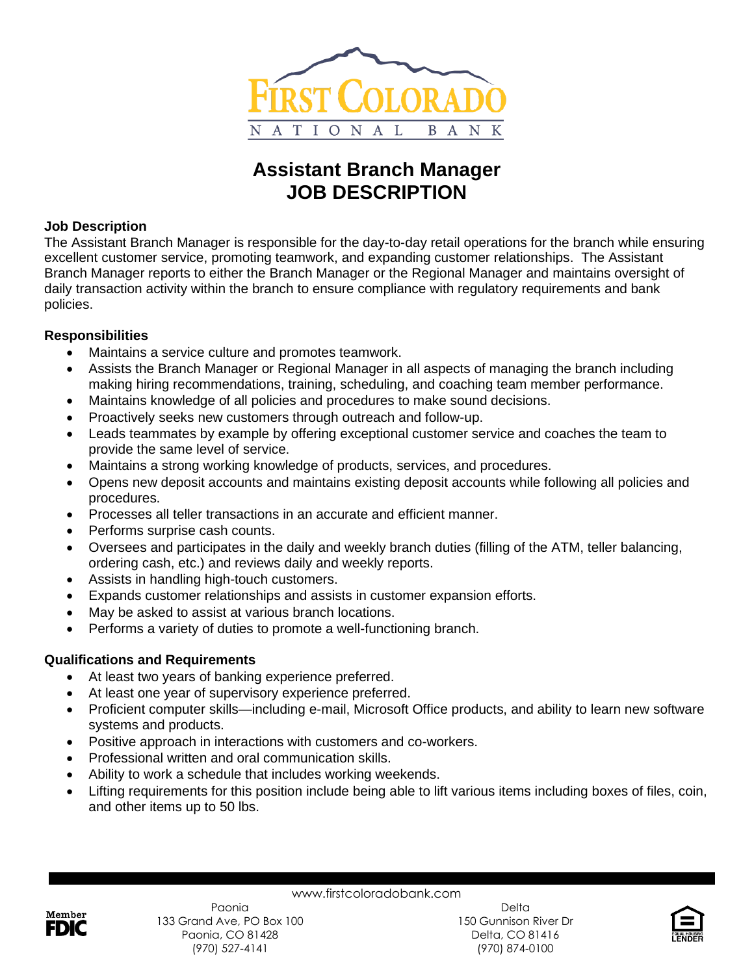

# **Assistant Branch Manager JOB DESCRIPTION**

## **Job Description**

The Assistant Branch Manager is responsible for the day-to-day retail operations for the branch while ensuring excellent customer service, promoting teamwork, and expanding customer relationships. The Assistant Branch Manager reports to either the Branch Manager or the Regional Manager and maintains oversight of daily transaction activity within the branch to ensure compliance with regulatory requirements and bank policies.

## **Responsibilities**

- Maintains a service culture and promotes teamwork.
- Assists the Branch Manager or Regional Manager in all aspects of managing the branch including making hiring recommendations, training, scheduling, and coaching team member performance.
- Maintains knowledge of all policies and procedures to make sound decisions.
- Proactively seeks new customers through outreach and follow-up.
- Leads teammates by example by offering exceptional customer service and coaches the team to provide the same level of service.
- Maintains a strong working knowledge of products, services, and procedures.
- Opens new deposit accounts and maintains existing deposit accounts while following all policies and procedures.
- Processes all teller transactions in an accurate and efficient manner.
- Performs surprise cash counts.
- Oversees and participates in the daily and weekly branch duties (filling of the ATM, teller balancing, ordering cash, etc.) and reviews daily and weekly reports.
- Assists in handling high-touch customers.
- Expands customer relationships and assists in customer expansion efforts.
- May be asked to assist at various branch locations.
- Performs a variety of duties to promote a well-functioning branch.

# **Qualifications and Requirements**

- At least two years of banking experience preferred.
- At least one year of supervisory experience preferred.
- Proficient computer skills—including e-mail, Microsoft Office products, and ability to learn new software systems and products.
- Positive approach in interactions with customers and co-workers.
- Professional written and oral communication skills.
- Ability to work a schedule that includes working weekends.
- Lifting requirements for this position include being able to lift various items including boxes of files, coin, and other items up to 50 lbs.

www.firstcoloradobank.com



Delta 150 Gunnison River Dr Delta, CO 81416 (970) 874-0100